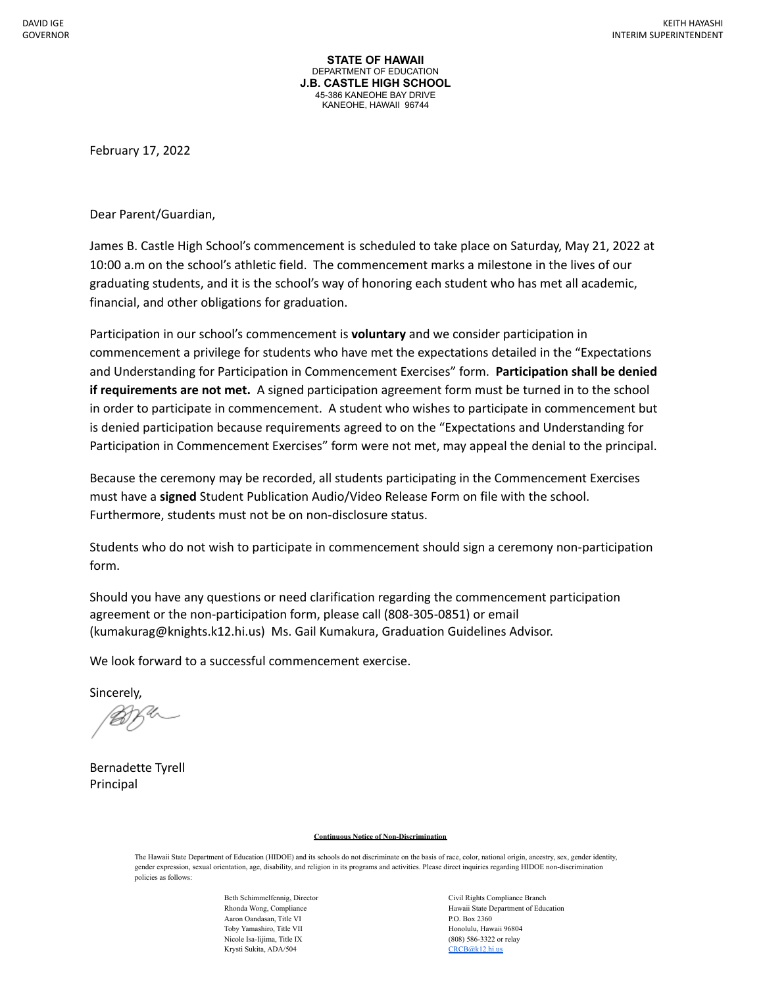**STATE OF HAWAII** DEPARTMENT OF EDUCATION **J.B. CASTLE HIGH SCHOOL** 45-386 KANEOHE BAY DRIVE KANEOHE, HAWAII 96744

February 17, 2022

Dear Parent/Guardian,

James B. Castle High School's commencement is scheduled to take place on Saturday, May 21, 2022 at 10:00 a.m on the school's athletic field. The commencement marks a milestone in the lives of our graduating students, and it is the school's way of honoring each student who has met all academic, financial, and other obligations for graduation.

Participation in our school's commencement is **voluntary** and we consider participation in commencement a privilege for students who have met the expectations detailed in the "Expectations and Understanding for Participation in Commencement Exercises" form. **Participation shall be denied if requirements are not met.** A signed participation agreement form must be turned in to the school in order to participate in commencement. A student who wishes to participate in commencement but is denied participation because requirements agreed to on the "Expectations and Understanding for Participation in Commencement Exercises" form were not met, may appeal the denial to the principal.

Because the ceremony may be recorded, all students participating in the Commencement Exercises must have a **signed** Student Publication Audio/Video Release Form on file with the school. Furthermore, students must not be on non-disclosure status.

Students who do not wish to participate in commencement should sign a ceremony non-participation form.

Should you have any questions or need clarification regarding the commencement participation agreement or the non-participation form, please call (808-305-0851) or email (kumakurag@knights.k12.hi.us) Ms. Gail Kumakura, Graduation Guidelines Advisor.

We look forward to a successful commencement exercise.

Sincerely,

XU-

Bernadette Tyrell Principal

## **Continuous Notice of Non-Discrimination**

The Hawaii State Department of Education (HIDOE) and its schools do not discriminate on the basis of race, color, national origin, ancestry, sex, gender identity, gender expression, sexual orientation, age, disability, and religion in its programs and activities. Please direct inquiries regarding HIDOE non-discrimination policies as follows:

> Aaron Oandasan, Title VI P.O. Box 2360 Toby Yamashiro, Title VII https://www.mateural.com/mateural/mateural/mateural/mateural/mateural/mateural/mateur Nicole Isa-Iijima, Title IX (808) 586-3322 or relay Krysti Sukita, ADA/504 [CRCB@k12.hi.us](mailto:CRCB@k12.hi.us)

Beth Schimmelfennig, Director Civil Rights Compliance Branch Rhonda Wong, Compliance **Hawaii State Department of Education**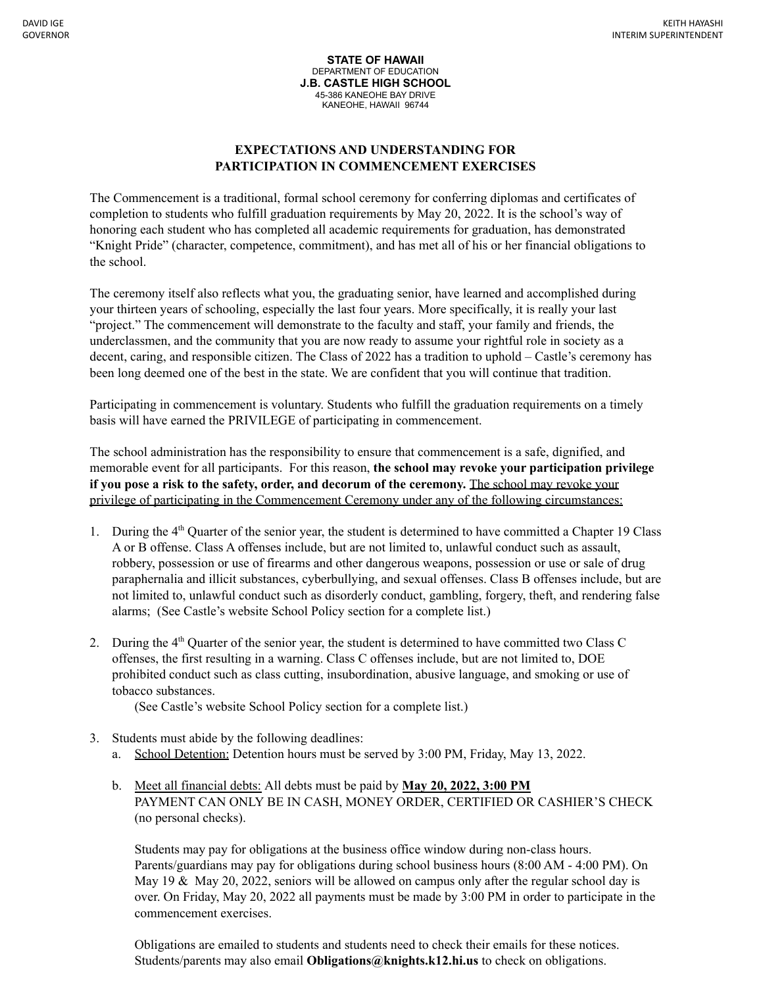**STATE OF HAWAII** DEPARTMENT OF EDUCATION **J.B. CASTLE HIGH SCHOOL** 45-386 KANEOHE BAY DRIVE KANEOHE, HAWAII 96744

## **EXPECTATIONS AND UNDERSTANDING FOR PARTICIPATION IN COMMENCEMENT EXERCISES**

The Commencement is a traditional, formal school ceremony for conferring diplomas and certificates of completion to students who fulfill graduation requirements by May 20, 2022. It is the school's way of honoring each student who has completed all academic requirements for graduation, has demonstrated "Knight Pride" (character, competence, commitment), and has met all of his or her financial obligations to the school.

The ceremony itself also reflects what you, the graduating senior, have learned and accomplished during your thirteen years of schooling, especially the last four years. More specifically, it is really your last "project." The commencement will demonstrate to the faculty and staff, your family and friends, the underclassmen, and the community that you are now ready to assume your rightful role in society as a decent, caring, and responsible citizen. The Class of 2022 has a tradition to uphold – Castle's ceremony has been long deemed one of the best in the state. We are confident that you will continue that tradition.

Participating in commencement is voluntary. Students who fulfill the graduation requirements on a timely basis will have earned the PRIVILEGE of participating in commencement.

The school administration has the responsibility to ensure that commencement is a safe, dignified, and memorable event for all participants. For this reason, **the school may revoke your participation privilege if you pose a risk to the safety, order, and decorum of the ceremony.** The school may revoke your privilege of participating in the Commencement Ceremony under any of the following circumstances:

- 1. During the 4th Quarter of the senior year, the student is determined to have committed a Chapter 19 Class A or B offense. Class A offenses include, but are not limited to, unlawful conduct such as assault, robbery, possession or use of firearms and other dangerous weapons, possession or use or sale of drug paraphernalia and illicit substances, cyberbullying, and sexual offenses. Class B offenses include, but are not limited to, unlawful conduct such as disorderly conduct, gambling, forgery, theft, and rendering false alarms; (See Castle's website School Policy section for a complete list.)
- 2. During the 4th Quarter of the senior year, the student is determined to have committed two Class C offenses, the first resulting in a warning. Class C offenses include, but are not limited to, DOE prohibited conduct such as class cutting, insubordination, abusive language, and smoking or use of tobacco substances.

(See Castle's website School Policy section for a complete list.)

- 3. Students must abide by the following deadlines:
	- a. School Detention: Detention hours must be served by 3:00 PM, Friday, May 13, 2022.
	- b. Meet all financial debts: All debts must be paid by **May 20, 2022, 3:00 PM** PAYMENT CAN ONLY BE IN CASH, MONEY ORDER, CERTIFIED OR CASHIER'S CHECK (no personal checks).

Students may pay for obligations at the business office window during non-class hours. Parents/guardians may pay for obligations during school business hours (8:00 AM - 4:00 PM). On May 19  $\&$  May 20, 2022, seniors will be allowed on campus only after the regular school day is over. On Friday, May 20, 2022 all payments must be made by 3:00 PM in order to participate in the commencement exercises.

Obligations are emailed to students and students need to check their emails for these notices. Students/parents may also email **Obligations@knights.k12.hi.us** to check on obligations.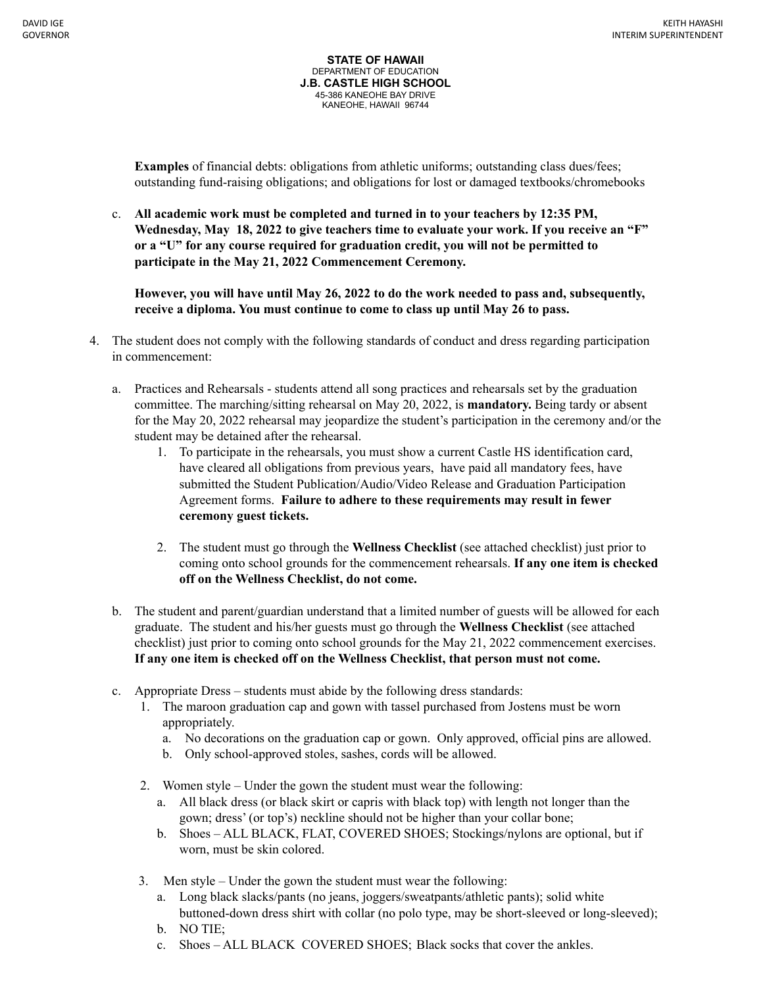**Examples** of financial debts: obligations from athletic uniforms; outstanding class dues/fees; outstanding fund-raising obligations; and obligations for lost or damaged textbooks/chromebooks

c. **All academic work must be completed and turned in to your teachers by 12:35 PM, Wednesday, May 18, 2022 to give teachers time to evaluate your work. If you receive an "F" or a "U" for any course required for graduation credit, you will not be permitted to participate in the May 21, 2022 Commencement Ceremony.**

**However, you will have until May 26, 2022 to do the work needed to pass and, subsequently, receive a diploma. You must continue to come to class up until May 26 to pass.**

- 4. The student does not comply with the following standards of conduct and dress regarding participation in commencement:
	- a. Practices and Rehearsals students attend all song practices and rehearsals set by the graduation committee. The marching/sitting rehearsal on May 20, 2022, is **mandatory.** Being tardy or absent for the May 20, 2022 rehearsal may jeopardize the student's participation in the ceremony and/or the student may be detained after the rehearsal.
		- 1. To participate in the rehearsals, you must show a current Castle HS identification card, have cleared all obligations from previous years, have paid all mandatory fees, have submitted the Student Publication/Audio/Video Release and Graduation Participation Agreement forms. **Failure to adhere to these requirements may result in fewer ceremony guest tickets.**
		- 2. The student must go through the **Wellness Checklist** (see attached checklist) just prior to coming onto school grounds for the commencement rehearsals. **If any one item is checked off on the Wellness Checklist, do not come.**
	- b. The student and parent/guardian understand that a limited number of guests will be allowed for each graduate. The student and his/her guests must go through the **Wellness Checklist** (see attached checklist) just prior to coming onto school grounds for the May 21, 2022 commencement exercises. **If any one item is checked off on the Wellness Checklist, that person must not come.**
	- c. Appropriate Dress students must abide by the following dress standards:
		- 1. The maroon graduation cap and gown with tassel purchased from Jostens must be worn appropriately.
			- a. No decorations on the graduation cap or gown. Only approved, official pins are allowed.
			- b. Only school-approved stoles, sashes, cords will be allowed.
		- 2. Women style Under the gown the student must wear the following:
			- a. All black dress (or black skirt or capris with black top) with length not longer than the gown; dress' (or top's) neckline should not be higher than your collar bone;
			- b. Shoes ALL BLACK, FLAT, COVERED SHOES; Stockings/nylons are optional, but if worn, must be skin colored.
		- 3. Men style Under the gown the student must wear the following:
			- a. Long black slacks/pants (no jeans, joggers/sweatpants/athletic pants); solid white buttoned-down dress shirt with collar (no polo type, may be short-sleeved or long-sleeved);
			- b. NO TIE;
			- c. Shoes ALL BLACK COVERED SHOES; Black socks that cover the ankles.